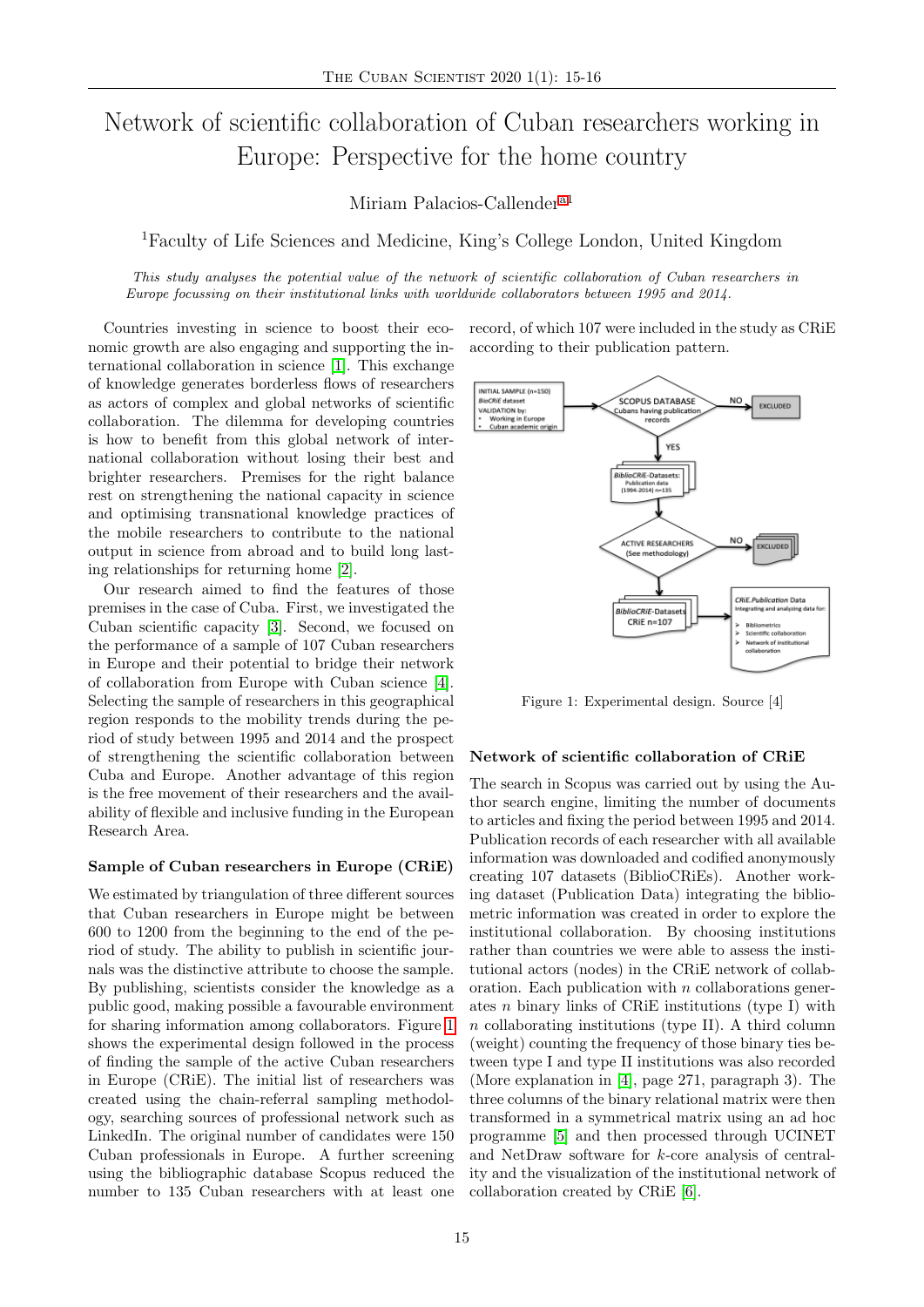# Network of scientific collaboration of Cuban researchers working in Europe: Perspective for the home country

Miriam Palacios-Callender<sup>[a1](#page-1-0)</sup>

<sup>1</sup>Faculty of Life Sciences and Medicine, King's College London, United Kingdom

This study analyses the potential value of the network of scientific collaboration of Cuban researchers in Europe focussing on their institutional links with worldwide collaborators between 1995 and 2014.

Countries investing in science to boost their economic growth are also engaging and supporting the international collaboration in science [\[1\]](#page-1-1). This exchange of knowledge generates borderless flows of researchers as actors of complex and global networks of scientific collaboration. The dilemma for developing countries is how to benefit from this global network of international collaboration without losing their best and brighter researchers. Premises for the right balance rest on strengthening the national capacity in science and optimising transnational knowledge practices of the mobile researchers to contribute to the national output in science from abroad and to build long lasting relationships for returning home [\[2\]](#page-1-2).

Our research aimed to find the features of those premises in the case of Cuba. First, we investigated the Cuban scientific capacity [\[3\]](#page-1-3). Second, we focused on the performance of a sample of 107 Cuban researchers in Europe and their potential to bridge their network of collaboration from Europe with Cuban science [\[4\]](#page-1-4). Selecting the sample of researchers in this geographical region responds to the mobility trends during the period of study between 1995 and 2014 and the prospect of strengthening the scientific collaboration between Cuba and Europe. Another advantage of this region is the free movement of their researchers and the availability of flexible and inclusive funding in the European Research Area.

### Sample of Cuban researchers in Europe (CRiE)

We estimated by triangulation of three different sources that Cuban researchers in Europe might be between 600 to 1200 from the beginning to the end of the period of study. The ability to publish in scientific journals was the distinctive attribute to choose the sample. By publishing, scientists consider the knowledge as a public good, making possible a favourable environment for sharing information among collaborators. Figure [1](#page-0-0) shows the experimental design followed in the process of finding the sample of the active Cuban researchers in Europe (CRiE). The initial list of researchers was created using the chain-referral sampling methodology, searching sources of professional network such as LinkedIn. The original number of candidates were 150 Cuban professionals in Europe. A further screening using the bibliographic database Scopus reduced the number to 135 Cuban researchers with at least one record, of which 107 were included in the study as CRiE according to their publication pattern.

<span id="page-0-0"></span>

Figure 1: Experimental design. Source [4]

## Network of scientific collaboration of CRiE

The search in Scopus was carried out by using the Author search engine, limiting the number of documents to articles and fixing the period between 1995 and 2014. Publication records of each researcher with all available information was downloaded and codified anonymously creating 107 datasets (BiblioCRiEs). Another working dataset (Publication Data) integrating the bibliometric information was created in order to explore the institutional collaboration. By choosing institutions rather than countries we were able to assess the institutional actors (nodes) in the CRiE network of collaboration. Each publication with  $n$  collaborations generates  $n$  binary links of CRiE institutions (type I) with n collaborating institutions (type II). A third column (weight) counting the frequency of those binary ties between type I and type II institutions was also recorded (More explanation in [\[4\]](#page-1-4), page 271, paragraph 3). The three columns of the binary relational matrix were then transformed in a symmetrical matrix using an ad hoc programme [\[5\]](#page-1-5) and then processed through UCINET and NetDraw software for k-core analysis of centrality and the visualization of the institutional network of collaboration created by CRiE [\[6\]](#page-1-6).